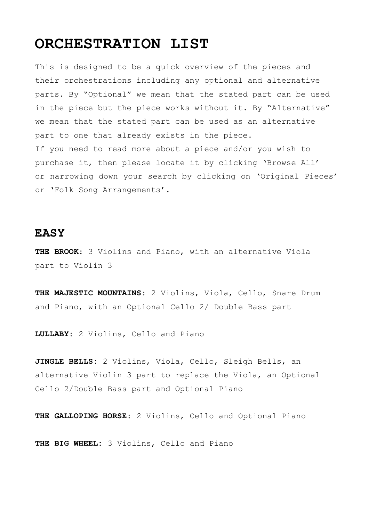# **ORCHESTRATION LIST**

This is designed to be a quick overview of the pieces and their orchestrations including any optional and alternative parts. By "Optional" we mean that the stated part can be used in the piece but the piece works without it. By "Alternative" we mean that the stated part can be used as an alternative part to one that already exists in the piece. If you need to read more about a piece and/or you wish to purchase it, then please locate it by clicking 'Browse All' or narrowing down your search by clicking on 'Original Pieces' or 'Folk Song Arrangements'.

### **EASY**

**THE BROOK**: 3 Violins and Piano, with an alternative Viola part to Violin 3

**THE MAJESTIC MOUNTAINS:** 2 Violins, Viola, Cello, Snare Drum and Piano, with an Optional Cello 2/ Double Bass part

**LULLABY:** 2 Violins, Cello and Piano

**JINGLE BELLS:** 2 Violins, Viola, Cello, Sleigh Bells, an alternative Violin 3 part to replace the Viola, an Optional Cello 2/Double Bass part and Optional Piano

**THE GALLOPING HORSE:** 2 Violins, Cello and Optional Piano

**THE BIG WHEEL:** 3 Violins, Cello and Piano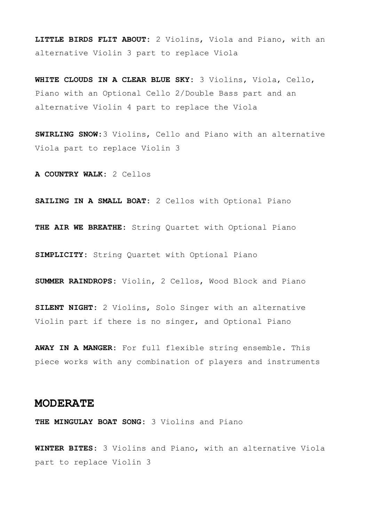**LITTLE BIRDS FLIT ABOUT:** 2 Violins, Viola and Piano, with an alternative Violin 3 part to replace Viola

**WHITE CLOUDS IN A CLEAR BLUE SKY:** 3 Violins, Viola, Cello, Piano with an Optional Cello 2/Double Bass part and an alternative Violin 4 part to replace the Viola

**SWIRLING SNOW:**3 Violins, Cello and Piano with an alternative Viola part to replace Violin 3

**A COUNTRY WALK:** 2 Cellos

**SAILING IN A SMALL BOAT:** 2 Cellos with Optional Piano

**THE AIR WE BREATHE:** String Quartet with Optional Piano

**SIMPLICITY:** String Quartet with Optional Piano

**SUMMER RAINDROPS:** Violin, 2 Cellos, Wood Block and Piano

**SILENT NIGHT:** 2 Violins, Solo Singer with an alternative Violin part if there is no singer, and Optional Piano

**AWAY IN A MANGER:** For full flexible string ensemble. This piece works with any combination of players and instruments

#### **MODERATE**

**THE MINGULAY BOAT SONG:** 3 Violins and Piano

**WINTER BITES:** 3 Violins and Piano, with an alternative Viola part to replace Violin 3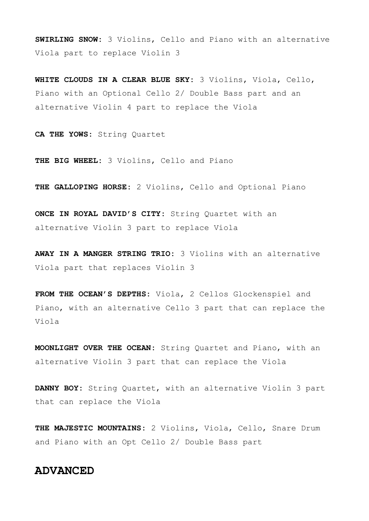**SWIRLING SNOW:** 3 Violins, Cello and Piano with an alternative Viola part to replace Violin 3

**WHITE CLOUDS IN A CLEAR BLUE SKY:** 3 Violins, Viola, Cello, Piano with an Optional Cello 2/ Double Bass part and an alternative Violin 4 part to replace the Viola

**CA THE YOWS:** String Quartet

**THE BIG WHEEL:** 3 Violins, Cello and Piano

**THE GALLOPING HORSE:** 2 Violins, Cello and Optional Piano

**ONCE IN ROYAL DAVID'S CITY:** String Quartet with an alternative Violin 3 part to replace Viola

**AWAY IN A MANGER STRING TRIO:** 3 Violins with an alternative Viola part that replaces Violin 3

**FROM THE OCEAN'S DEPTHS:** Viola, 2 Cellos Glockenspiel and Piano, with an alternative Cello 3 part that can replace the Viola

**MOONLIGHT OVER THE OCEAN:** String Quartet and Piano, with an alternative Violin 3 part that can replace the Viola

**DANNY BOY:** String Quartet, with an alternative Violin 3 part that can replace the Viola

**THE MAJESTIC MOUNTAINS:** 2 Violins, Viola, Cello, Snare Drum and Piano with an Opt Cello 2/ Double Bass part

## **ADVANCED**